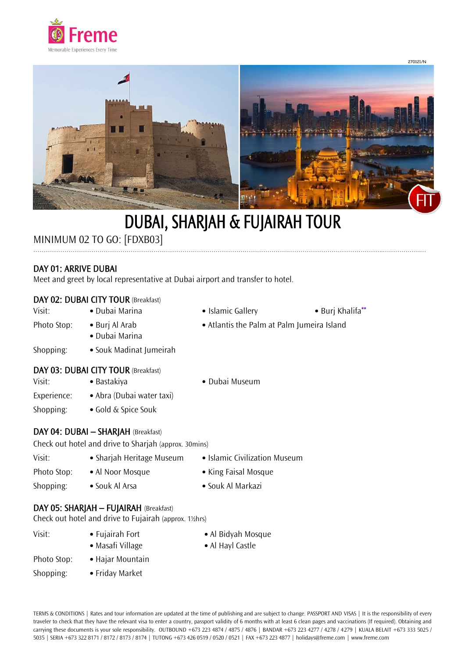



# DUBAI, SHARJAH & FUJAIRAH TOUR

…………………………………………………………………………………………………………………………………………………….…………………

# MINIMUM 02 TO GO: [FDXB03]

## DAY 01: ARRIVE DUBAI

Meet and greet by local representative at Dubai airport and transfer to hotel.

### DAY 02: DUBAI CITY TOUR (Breakfast)

- Visit: Dubai Marina • Islamic Gallery • Burj Khalifa\*\* Photo Stop: • Burj Al Arab • Atlantis the Palm at Palm Jumeira Island • Dubai Marina Shopping: • Souk Madinat Jumeirah DAY 03: DUBAI CITY TOUR (Breakfast)
- Visit: Bastakiya Dubai Museum
- Experience: Abra (Dubai water taxi)
- Shopping: Gold & Spice Souk
- 
- 
- DAY 04: DUBAI SHARJAH (Breakfast)

Check out hotel and drive to Sharjah (approx. 30mins)

| Visit:      | • Sharjah Heritage Museum | • Islamic Civilization Museum |
|-------------|---------------------------|-------------------------------|
| Photo Stop: | • Al Noor Mosque          | • King Faisal Mosque          |
| Shopping:   | • Souk Al Arsa            | • Souk Al Markazi             |

#### DAY 05: SHARJAH – FUJAIRAH (Breakfast)

Check out hotel and drive to Fujairah (approx. 1½hrs)

Visit: **•** Fujairah Fort **•** Al Bidyah Mosque **•** Masafi Village **•** Al Hayl Castle Photo Stop: **•** Hajar Mountain Shopping: **•** Friday Market

TERMS & CONDITIONS | Rates and tour information are updated at the time of publishing and are subject to change. PASSPORT AND VISAS | It is the responsibility of every traveler to check that they have the relevant visa to enter a country, passport validity of 6 months with at least 6 clean pages and vaccinations (If required). Obtaining and carrying these documents is your sole responsibility. OUTBOUND +673 223 4874 / 4875 / 4876 | BANDAR +673 223 4277 / 4278 / 4279 | KUALA BELAIT +673 333 5025 / 5035 | SERIA +673 322 8171 / 8172 / 8173 / 8174 | TUTONG +673 426 0519 / 0520 / 0521 | FAX +673 223 4877 | holidays@freme.com | www.freme.com